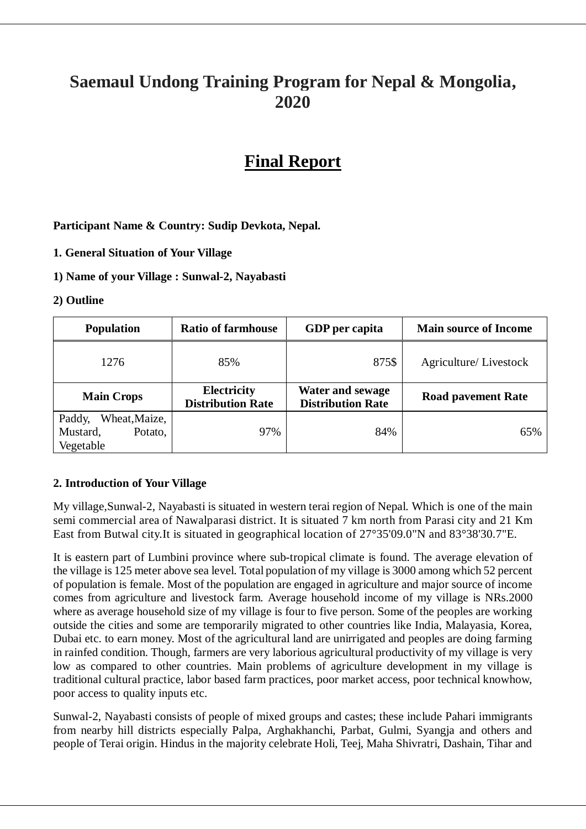# **Saemaul Undong Training Program for Nepal & Mongolia, 2020**

# **Final Report**

## **Participant Name & Country: Sudip Devkota, Nepal.**

**1. General Situation of Your Village** 

#### **1) Name of your Village : Sunwal-2, Nayabasti**

#### **2) Outline**

| <b>Population</b>                                           | <b>Ratio of farmhouse</b>               | GDP per capita                                      | <b>Main source of Income</b> |  |
|-------------------------------------------------------------|-----------------------------------------|-----------------------------------------------------|------------------------------|--|
| 1276                                                        | 85%                                     | 875\$                                               | Agriculture/Livestock        |  |
| <b>Main Crops</b>                                           | Electricity<br><b>Distribution Rate</b> | <b>Water and sewage</b><br><b>Distribution Rate</b> | <b>Road pavement Rate</b>    |  |
| Wheat, Maize,<br>Paddy,<br>Mustard,<br>Potato,<br>Vegetable | 97%                                     | 84%                                                 | 65%                          |  |

## **2. Introduction of Your Village**

My village,Sunwal-2, Nayabasti is situated in western terai region of Nepal. Which is one of the main semi commercial area of Nawalparasi district. It is situated 7 km north from Parasi city and 21 Km East from Butwal city.It is situated in geographical location of 27°35'09.0"N and 83°38'30.7"E.

It is eastern part of Lumbini province where sub-tropical climate is found. The average elevation of the village is 125 meter above sea level. Total population of my village is 3000 among which 52 percent of population is female. Most of the population are engaged in agriculture and major source of income comes from agriculture and livestock farm. Average household income of my village is NRs.2000 where as average household size of my village is four to five person. Some of the peoples are working outside the cities and some are temporarily migrated to other countries like India, Malayasia, Korea, Dubai etc. to earn money. Most of the agricultural land are unirrigated and peoples are doing farming in rainfed condition. Though, farmers are very laborious agricultural productivity of my village is very low as compared to other countries. Main problems of agriculture development in my village is traditional cultural practice, labor based farm practices, poor market access, poor technical knowhow, poor access to quality inputs etc.

Sunwal-2, Nayabasti consists of people of mixed groups and castes; these include Pahari immigrants from nearby hill districts especially Palpa, Arghakhanchi, Parbat, Gulmi, Syangja and others and people of Terai origin. Hindus in the majority celebrate Holi, Teej, Maha Shivratri, Dashain, Tihar and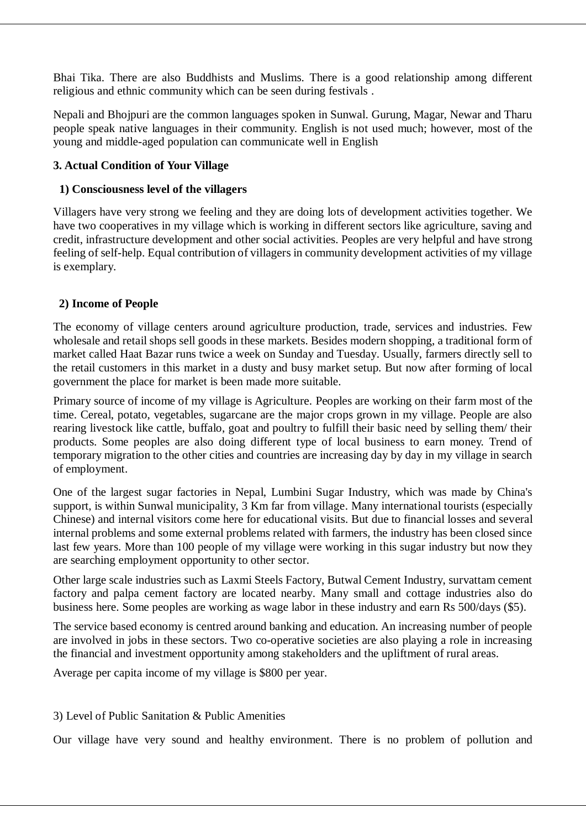Bhai Tika. There are also Buddhists and Muslims. There is a good relationship among different religious and ethnic community which can be seen during festivals .

Nepali and Bhojpuri are the common languages spoken in Sunwal. Gurung, Magar, Newar and Tharu people speak native languages in their community. English is not used much; however, most of the young and middle-aged population can communicate well in English

## **3. Actual Condition of Your Village**

#### **1) Consciousness level of the villagers**

Villagers have very strong we feeling and they are doing lots of development activities together. We have two cooperatives in my village which is working in different sectors like agriculture, saving and credit, infrastructure development and other social activities. Peoples are very helpful and have strong feeling of self-help. Equal contribution of villagers in community development activities of my village is exemplary.

#### **2) Income of People**

The economy of village centers around agriculture production, trade, services and industries. Few wholesale and retail shops sell goods in these markets. Besides modern shopping, a traditional form of market called Haat Bazar runs twice a week on Sunday and Tuesday. Usually, farmers directly sell to the retail customers in this market in a dusty and busy market setup. But now after forming of local government the place for market is been made more suitable.

Primary source of income of my village is Agriculture. Peoples are working on their farm most of the time. Cereal, potato, vegetables, sugarcane are the major crops grown in my village. People are also rearing livestock like cattle, buffalo, goat and poultry to fulfill their basic need by selling them/ their products. Some peoples are also doing different type of local business to earn money. Trend of temporary migration to the other cities and countries are increasing day by day in my village in search of employment.

One of the largest sugar factories in Nepal, Lumbini Sugar Industry, which was made by China's support, is within Sunwal municipality, 3 Km far from village. Many international tourists (especially Chinese) and internal visitors come here for educational visits. But due to financial losses and several internal problems and some external problems related with farmers, the industry has been closed since last few years. More than 100 people of my village were working in this sugar industry but now they are searching employment opportunity to other sector.

Other large scale industries such as Laxmi Steels Factory, Butwal Cement Industry, survattam cement factory and palpa cement factory are located nearby. Many small and cottage industries also do business here. Some peoples are working as wage labor in these industry and earn Rs 500/days (\$5).

The service based economy is centred around banking and education. An increasing number of people are involved in jobs in these sectors. Two co-operative societies are also playing a role in increasing the financial and investment opportunity among stakeholders and the upliftment of rural areas.

Average per capita income of my village is \$800 per year.

## 3) Level of Public Sanitation & Public Amenities

Our village have very sound and healthy environment. There is no problem of pollution and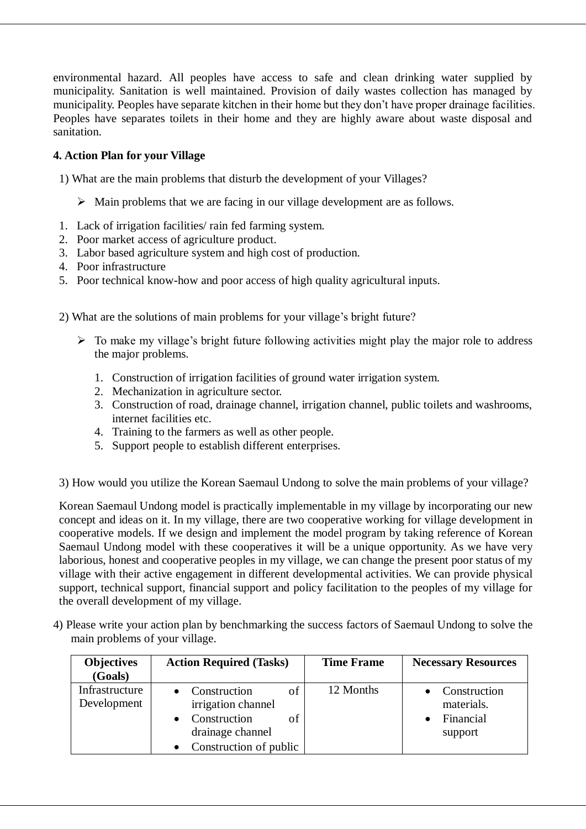environmental hazard. All peoples have access to safe and clean drinking water supplied by municipality. Sanitation is well maintained. Provision of daily wastes collection has managed by municipality. Peoples have separate kitchen in their home but they don't have proper drainage facilities. Peoples have separates toilets in their home and they are highly aware about waste disposal and sanitation.

## **4. Action Plan for your Village**

1) What are the main problems that disturb the development of your Villages?

- $\triangleright$  Main problems that we are facing in our village development are as follows.
- 1. Lack of irrigation facilities/ rain fed farming system.
- 2. Poor market access of agriculture product.
- 3. Labor based agriculture system and high cost of production.
- 4. Poor infrastructure
- 5. Poor technical know-how and poor access of high quality agricultural inputs.

2) What are the solutions of main problems for your village's bright future?

- $\triangleright$  To make my village's bright future following activities might play the major role to address the major problems.
	- 1. Construction of irrigation facilities of ground water irrigation system.
	- 2. Mechanization in agriculture sector.
	- 3. Construction of road, drainage channel, irrigation channel, public toilets and washrooms, internet facilities etc.
	- 4. Training to the farmers as well as other people.
	- 5. Support people to establish different enterprises.

3) How would you utilize the Korean Saemaul Undong to solve the main problems of your village?

Korean Saemaul Undong model is practically implementable in my village by incorporating our new concept and ideas on it. In my village, there are two cooperative working for village development in cooperative models. If we design and implement the model program by taking reference of Korean Saemaul Undong model with these cooperatives it will be a unique opportunity. As we have very laborious, honest and cooperative peoples in my village, we can change the present poor status of my village with their active engagement in different developmental activities. We can provide physical support, technical support, financial support and policy facilitation to the peoples of my village for the overall development of my village.

4) Please write your action plan by benchmarking the success factors of Saemaul Undong to solve the main problems of your village.

| <b>Objectives</b><br>(Goals)  | <b>Action Required (Tasks)</b>                                                                               | <b>Time Frame</b> | <b>Necessary Resources</b>                         |
|-------------------------------|--------------------------------------------------------------------------------------------------------------|-------------------|----------------------------------------------------|
| Infrastructure<br>Development | οf<br>Construction<br>irrigation channel<br>Construction<br>οf<br>drainage channel<br>Construction of public | 12 Months         | Construction<br>materials.<br>Financial<br>support |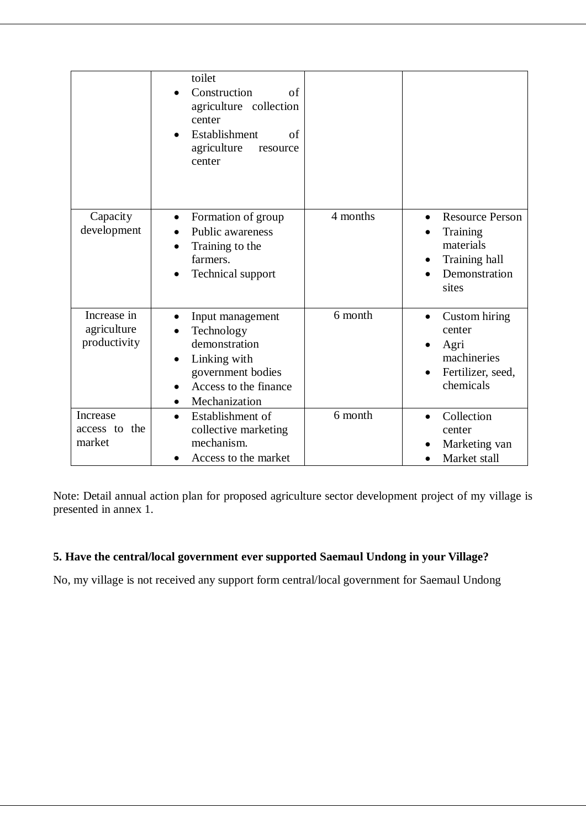|                                            | toilet<br>Construction<br>of<br>agriculture collection<br>center<br>Establishment<br>of<br>agriculture<br>resource<br>center                             |          |                                                                                                         |
|--------------------------------------------|----------------------------------------------------------------------------------------------------------------------------------------------------------|----------|---------------------------------------------------------------------------------------------------------|
| Capacity<br>development                    | Formation of group<br>$\bullet$<br><b>Public awareness</b><br>Training to the<br>farmers.<br>Technical support                                           | 4 months | <b>Resource Person</b><br>$\bullet$<br>Training<br>materials<br>Training hall<br>Demonstration<br>sites |
| Increase in<br>agriculture<br>productivity | Input management<br>$\bullet$<br>Technology<br>demonstration<br>Linking with<br>government bodies<br>Access to the finance<br>Mechanization<br>$\bullet$ | 6 month  | Custom hiring<br>$\bullet$<br>center<br>Agri<br>machineries<br>Fertilizer, seed,<br>chemicals           |
| Increase<br>access to the<br>market        | Establishment of<br>$\bullet$<br>collective marketing<br>mechanism.<br>Access to the market                                                              | 6 month  | Collection<br>center<br>Marketing van<br>Market stall                                                   |

Note: Detail annual action plan for proposed agriculture sector development project of my village is presented in annex 1.

## **5. Have the central/local government ever supported Saemaul Undong in your Village?**

No, my village is not received any support form central/local government for Saemaul Undong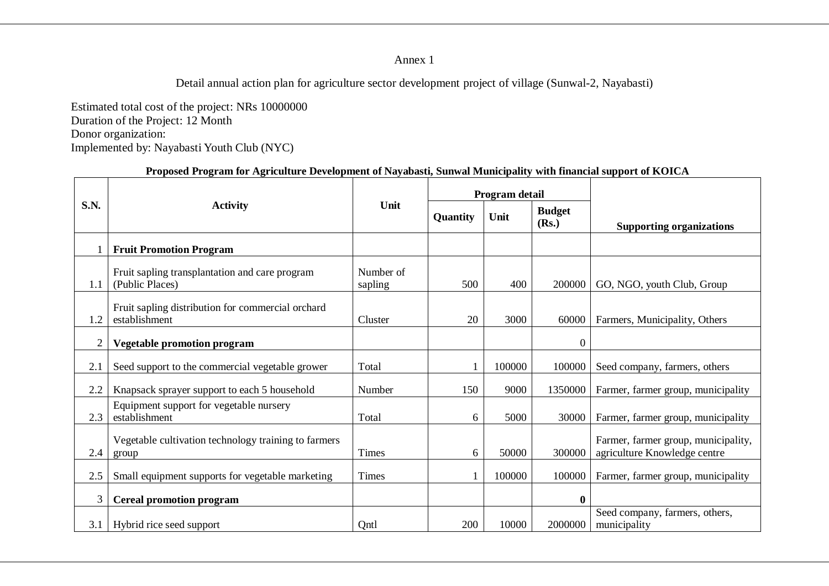Annex 1

Detail annual action plan for agriculture sector development project of village (Sunwal-2, Nayabasti)

Estimated total cost of the project: NRs 10000000 Duration of the Project: 12 Month Donor organization: Implemented by: Nayabasti Youth Club (NYC)

#### **Proposed Program for Agriculture Development of Nayabasti, Sunwal Municipality with financial support of KOICA**

|                |                                                                    |                      | Program detail |        |                        |                                                                     |
|----------------|--------------------------------------------------------------------|----------------------|----------------|--------|------------------------|---------------------------------------------------------------------|
| <b>S.N.</b>    | <b>Activity</b>                                                    | Unit                 | Quantity       | Unit   | <b>Budget</b><br>(Rs.) | <b>Supporting organizations</b>                                     |
|                | <b>Fruit Promotion Program</b>                                     |                      |                |        |                        |                                                                     |
| 1.1            | Fruit sapling transplantation and care program<br>(Public Places)  | Number of<br>sapling | 500            | 400    | 200000                 | GO, NGO, youth Club, Group                                          |
| 1.2            | Fruit sapling distribution for commercial orchard<br>establishment | Cluster              | 20             | 3000   | 60000                  | Farmers, Municipality, Others                                       |
| $\overline{2}$ | <b>Vegetable promotion program</b>                                 |                      |                |        | $\boldsymbol{0}$       |                                                                     |
| 2.1            | Seed support to the commercial vegetable grower                    | Total                |                | 100000 | 100000                 | Seed company, farmers, others                                       |
| 2.2            | Knapsack sprayer support to each 5 household                       | Number               | 150            | 9000   | 1350000                | Farmer, farmer group, municipality                                  |
| 2.3            | Equipment support for vegetable nursery<br>establishment           | Total                | 6              | 5000   | 30000                  | Farmer, farmer group, municipality                                  |
| 2.4            | Vegetable cultivation technology training to farmers<br>group      | <b>Times</b>         | 6              | 50000  | 300000                 | Farmer, farmer group, municipality,<br>agriculture Knowledge centre |
| 2.5            | Small equipment supports for vegetable marketing                   | Times                |                | 100000 | 100000                 | Farmer, farmer group, municipality                                  |
| 3              | <b>Cereal promotion program</b>                                    |                      |                |        | $\boldsymbol{0}$       |                                                                     |
| 3.1            | Hybrid rice seed support                                           | Qntl                 | 200            | 10000  | 2000000                | Seed company, farmers, others,<br>municipality                      |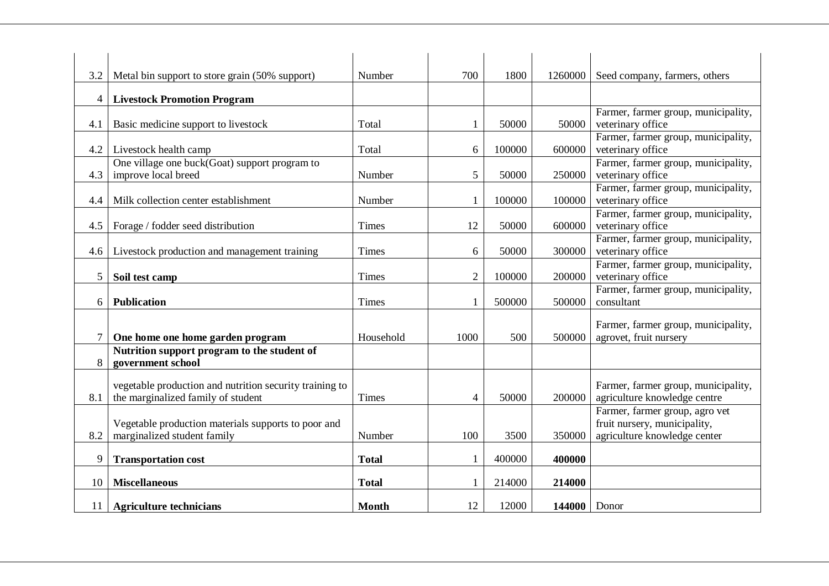| 3.2             | Metal bin support to store grain (50% support)                                                | Number       | 700            | 1800   | 1260000 | Seed company, farmers, others                                                                  |
|-----------------|-----------------------------------------------------------------------------------------------|--------------|----------------|--------|---------|------------------------------------------------------------------------------------------------|
|                 |                                                                                               |              |                |        |         |                                                                                                |
| $\overline{4}$  | <b>Livestock Promotion Program</b>                                                            |              |                |        |         |                                                                                                |
| 4.1             | Basic medicine support to livestock                                                           | Total        | 1              | 50000  | 50000   | Farmer, farmer group, municipality,<br>veterinary office                                       |
| 4.2             | Livestock health camp                                                                         | Total        | 6              | 100000 | 600000  | Farmer, farmer group, municipality,<br>veterinary office                                       |
| 4.3             | One village one buck(Goat) support program to<br>improve local breed                          | Number       | 5              | 50000  | 250000  | Farmer, farmer group, municipality,<br>veterinary office                                       |
| 4.4             | Milk collection center establishment                                                          | Number       |                | 100000 | 100000  | Farmer, farmer group, municipality,<br>veterinary office                                       |
| 4.5             | Forage / fodder seed distribution                                                             | <b>Times</b> | 12             | 50000  | 600000  | Farmer, farmer group, municipality,<br>veterinary office                                       |
| 4.6             | Livestock production and management training                                                  | <b>Times</b> | 6              | 50000  | 300000  | Farmer, farmer group, municipality,<br>veterinary office                                       |
| 5               | Soil test camp                                                                                | <b>Times</b> | $\overline{2}$ | 100000 | 200000  | Farmer, farmer group, municipality,<br>veterinary office                                       |
| 6               | <b>Publication</b>                                                                            | <b>Times</b> |                | 500000 | 500000  | Farmer, farmer group, municipality,<br>consultant                                              |
| $\tau$          | One home one home garden program                                                              | Household    | 1000           | 500    | 500000  | Farmer, farmer group, municipality,<br>agrovet, fruit nursery                                  |
| 8               | Nutrition support program to the student of<br>government school                              |              |                |        |         |                                                                                                |
| 8.1             | vegetable production and nutrition security training to<br>the marginalized family of student | <b>Times</b> | 4              | 50000  | 200000  | Farmer, farmer group, municipality,<br>agriculture knowledge centre                            |
| 8.2             | Vegetable production materials supports to poor and<br>marginalized student family            | Number       | 100            | 3500   | 350000  | Farmer, farmer group, agro vet<br>fruit nursery, municipality,<br>agriculture knowledge center |
| 9               | <b>Transportation cost</b>                                                                    | <b>Total</b> |                | 400000 | 400000  |                                                                                                |
| 10              | <b>Miscellaneous</b>                                                                          | <b>Total</b> |                | 214000 | 214000  |                                                                                                |
| 11 <sup>1</sup> | <b>Agriculture technicians</b>                                                                | <b>Month</b> | 12             | 12000  | 144000  | Donor                                                                                          |